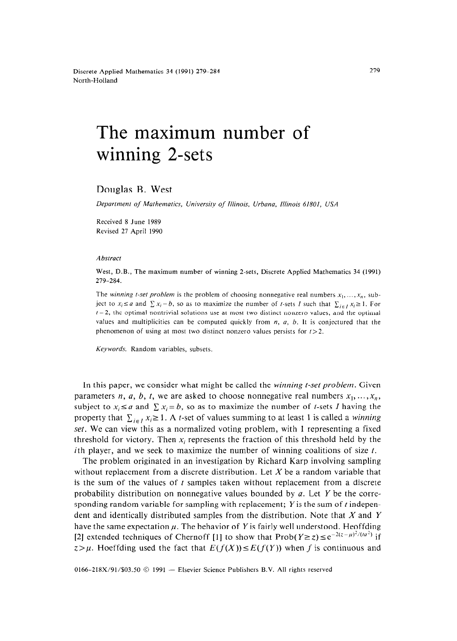Discrete Applied Mathematics 34 (1991) 279-284 North-Holland

# The maximum number of winning 2-sets

#### Douglas B. West

*Department of Mathematics, University of Illinois, Urbana, Illinois 61801, USA* 

Received 8 June 1989 Revised 27 April 1990

#### *Abstract*

West, D.B., The maximum number of winning 2-sets, Discrete Applied Mathematics 34 (1991) 279-284.

The *winning t-set problem* is the problem of choosing nonnegative real numbers  $x_1, \ldots, x_n$ , subject to  $x_i \le a$  and  $\sum x_i = b$ , so as to maximize the number of *t*-sets *I* such that  $\sum_{i \in I} x_i \ge 1$ . For  $t = 2$ , the optimal nontrivial solutions use at most two distinct nonzero values, and the optimal values and multiplicities can be computed quickly from *n, a, 6.* It is conjectured that the phenomenon of using at most two distinct nonzero values persists **for** *t>2.* 

*Keywords.* Random variables, subsets.

In this paper, we consider what might be called the *winning t-set problem.* Given parameters *n, a, b, t,* we are asked to choose nonnegative real numbers  $x_1, \ldots, x_n$ , subject to  $x_i \le a$  and  $\sum x_i = b$ , so as to maximize the number of *t*-sets *I* having the property that  $\sum_{i \in I} x_i \ge 1$ . A *t*-set of values summing to at least 1 is called a *winning set.* We can view this as a normalized voting problem, with 1 representing a fixed threshold for victory. Then  $x_i$  represents the fraction of this threshold held by the *i*th player, and we seek to maximize the number of winning coalitions of size  $t$ .

The problem originated in an investigation by Richard Karp involving sampling without replacement from a discrete distribution. Let X be a random variable that is the sum of the values of  $t$  samples taken without replacement from a discrete probability distribution on nonnegative values bounded by  $\alpha$ . Let Y be the corresponding random variable for sampling with replacement;  $Y$  is the sum of t independent and identically distributed samples from the distribution. Note that  $X$  and  $Y$ have the same expectation  $\mu$ . The behavior of Y is fairly well understood. Heoffding [2] extended techniques of Chernoff [1] to show that  $Prob(Y \ge z) \le e^{-2(z-\mu)^2/(t\alpha^2)}$  if  $z > \mu$ . Hoeffding used the fact that  $E(f(X)) \leq E(f(Y))$  when f is continuous and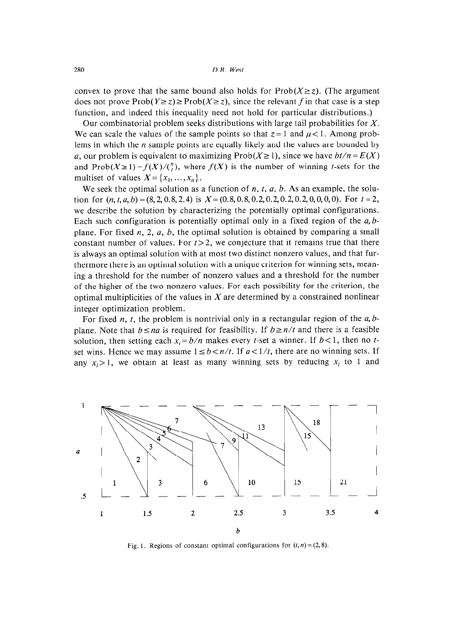convex to prove that the same bound also holds for  $Prob(X \ge z)$ . (The argument does not prove Prob $(Y \ge z) \ge \text{Prob}(X \ge z)$ , since the relevant *f* in that case is a step function, and indeed this inequality need not hold for particular distributions.)

Our combinatorial problem seeks distributions with large tail probabilities for X. We can scale the values of the sample points so that  $z = 1$  and  $\mu < 1$ . Among problems in which the  $n$  sample points are equally likely and the values are bounded by a, our problem is equivalent to maximizing Prob $(X \ge 1)$ , since we have  $bt/n = E(X)$ and  $Prob(X \ge 1) = f(X)/\binom{n}{t}$ , where  $f(X)$  is the number of winning *t*-sets for the multiset of values  $X = \{x_1, \ldots, x_n\}$ .

We seek the optimal solution as a function of  $n$ ,  $t$ ,  $a$ ,  $b$ . As an example, the solution for  $(n, t, a, b) = (8, 2, 0.8, 2.4)$  is  $X = (0.8, 0.8, 0.2, 0.2, 0.2, 0.2, 0.0, 0, 0)$ . For  $t = 2$ , *we* describe the solution by characterizing the potentially optimal configurations. Each such configuration is potentially optimal only in a fixed region of the  $a, b$ plane. For fixed  $n, 2, a, b$ , the optimal solution is obtained by comparing a small constant number of values. For  $t>2$ , we conjecture that it remains true that there is always an optimal solution with at most two distinct nonzero values, and that furthermore there is an optimal solution with a unique criterion for winning sets, meaning a threshold for the number of nonzero values and a threshold for the number of the higher of the two nonzero values. For each possibility for the criterion, the optimal multiplicities of the values in  $X$  are determined by a constrained nonlinear integer optimization problem.

For fixed *n*, *t*, the problem is nontrivial only in a rectangular region of the  $a, b$ plane. Note that  $b \le na$  is required for feasibility. If  $b \ge n/t$  and there is a feasible solution, then setting each  $x_i = b/n$  makes every t-set a winner. If  $b < 1$ , then no tset wins. Hence we may assume  $1 \le b < n/t$ . If  $a < 1/t$ , there are no winning sets. If any  $x_i>1$ , we obtain at least as many winning sets by reducing  $x_i$  to 1 and



Fig. 1. Regions of constant optimal configurations for  $(t, n) = (2, 8)$ .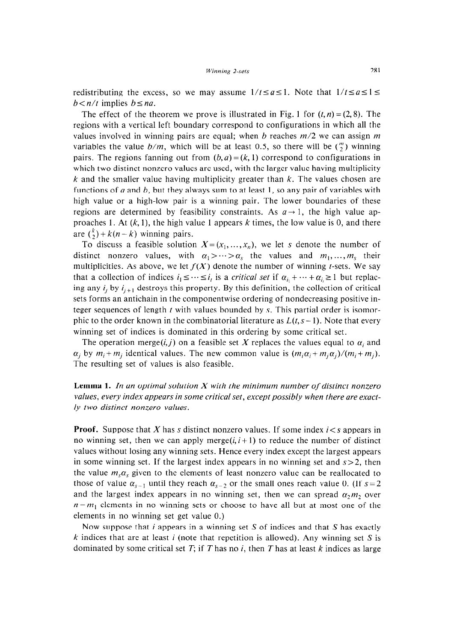redistributing the excess, so we may assume  $1/t \le a \le 1$ . Note that  $1/t \le a \le 1$  $b < n/t$  implies  $b \leq na$ .

The effect of the theorem we prove is illustrated in Fig. 1 for  $(t, n) = (2, 8)$ . The regions with a vertical left boundary correspond to configurations in which all the values involved in winning pairs are equal; when *b* reaches *m/2 we* can assign *m*  variables the value  $b/m$ , which will be at least 0.5, so there will be  $\binom{m}{2}$  winning pairs. The regions fanning out from  $(b, a) = (k, 1)$  correspond to configurations in which two distinct nonzero values are used, with the larger value having multiplicity k and the smaller value having multiplicity greater than  $k$ . The values chosen are functions of *a* and *6,* but they always sum to at least 1, so any pair of variables with high value or a high-low pair is a winning pair. The lower boundaries of these regions are determined by feasibility constraints. As  $a \rightarrow 1$ , the high value approaches 1. At  $(k, 1)$ , the high value 1 appears  $k$  times, the low value is 0, and there are  $\binom{k}{2} + k(n-k)$  winning pairs.

To discuss a feasible solution  $X = (x_1, \ldots, x_n)$ , we let s denote the number of distinct nonzero values, with  $\alpha_1 > \cdots > \alpha_s$  the values and  $m_1, \ldots, m_s$  their multiplicities. As above, we let  $f(X)$  denote the number of winning t-sets. We say that a collection of indices  $i_1 \leq \cdots \leq i_t$  is a *critical set* if  $\alpha_{i_1} + \cdots + \alpha_{i_t} \geq 1$  but replacing any  $i_j$  by  $i_{j+1}$  destroys this property. By this definition, the collection of critical sets forms an antichain in the componentwise ordering of nondecreasing positive integer sequences of length  $t$  with values bounded by  $s$ . This partial order is isomorphic to the order known in the combinatorial literature as  $L(t, s - 1)$ . Note that every winning set of indices is dominated in this ordering by some critical set.

The operation merge(i,j) on a feasible set X replaces the values equal to  $\alpha_i$  and  $\alpha_i$  by  $m_i + m_j$  identical values. The new common value is  $(m_i\alpha_i + m_j\alpha_i)/(m_i + m_j)$ . The resulting set of values is also feasible.

## **Lemma 1. In** *an optimal solution X with the minimum number of distinct nonzero values, every index appears in some critical set, except possibly when there are exactly two distinct nonzero values.*

**Proof.** Suppose that X has s distinct nonzero values. If some index *i* < s appears in no winning set, then we can apply merge $(i, i+1)$  to reduce the number of distinct values without losing any winning sets. Hence every index except the largest appears in some winning set. If the largest index appears in no winning set and  $s > 2$ , then the value  $m_s \alpha_s$  given to the elements of least nonzero value can be reallocated to those of value  $\alpha_{s-1}$  until they reach  $\alpha_{s-2}$  or the small ones reach value 0. (If  $s=2$ and the largest index appears in no winning set, then we can spread  $\alpha_2 m_2$  over  $n-m_1$  elements in no winning sets or choose to have all but at most one of the elements in no winning set get value 0.)

Now suppose that *i* appears in a winning set S of indices and that S has exactly *k* indices that are at least *i* (note that repetition is allowed). Any winning set S is dominated by some critical set  $T$ ; if  $T$  has no *i*, then  $T$  has at least  $k$  indices as large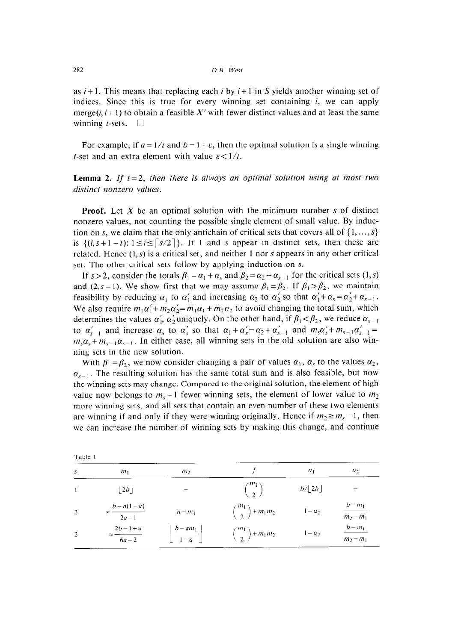as *i +* 1. This means that replacing each *i* by *i +* 1 in S yields another winning set of indices. Since this is true for every winning set containing  $i$ , we can apply merge( $i, i+1$ ) to obtain a feasible X' with fewer distinct values and at least the same winning *t*-sets.  $\Box$ 

For example, if  $a = 1/t$  and  $b = 1 + \varepsilon$ , then the optimal solution is a single winning t-set and an extra element with value  $\varepsilon < 1/t$ .

### **Lemma 2.** If  $t = 2$ , then there is always an optimal solution using at most two *distinct nonzero values.*

**Proof.** Let X be an optimal solution with the minimum number s of distinct nonzero values, not counting the possible single element of small value. By induction on s, we claim that the only antichain of critical sets that covers all of  $\{1, \ldots, s\}$ is  $\{(i, s+1-i): 1 \le i \le \lceil s/2 \rceil\}$ . If 1 and s appear in distinct sets, then these are related. Hence  $(1, s)$  is a critical set, and neither 1 nor s appears in any other critical set. The other critical sets follow by applying induction on s.

If  $s > 2$ , consider the totals  $\beta_1 = \alpha_1 + \alpha_s$  and  $\beta_2 = \alpha_2 + \alpha_{s-1}$  for the critical sets (1, s) and (2, s-1). We show first that we may assume  $\beta_1 = \beta_2$ . If  $\beta_1 > \beta_2$ , we maintain feasibility by reducing  $\alpha_1$  to  $\alpha'_1$  and increasing  $\alpha_2$  to  $\alpha'_2$  so that  $\alpha'_1 + \alpha_s = \alpha'_2 + \alpha_{s-1}$ . We also require  $m_1\alpha'_1 + m_2\alpha'_2 = m_1\alpha_1 + m_2\alpha_2$  to avoid changing the total sum, which determines the values  $\alpha'_1$ ,  $\alpha'_2$  uniquely. On the other hand, if  $\beta_1 < \beta_2$ , we reduce  $\alpha_{s-1}$ to  $\alpha'_{s-1}$  and increase  $\alpha_s$  to  $\alpha'_s$  so that  $\alpha_1 + \alpha'_s = \alpha_2 + \alpha'_{s-1}$  and  $m_s\alpha'_s + m_{s-1}\alpha'_{s-1} =$  $m_s \alpha_s + m_{s-1} \alpha_{s-1}$ . In either case, all winning sets in the old solution are also winning sets in the new solution.

With  $\beta_1 = \beta_2$ , we now consider changing a pair of values  $\alpha_1$ ,  $\alpha_s$  to the values  $\alpha_2$ ,  $\alpha_{s-1}$ . The resulting solution has the same total sum and is also feasible, but now the winning sets may change. Compared to the original solution, the element of high value now belongs to  $m_s - 1$  fewer winning sets, the element of lower value to  $m_2$ more winning sets, and all sets that contain an even number of these two elements are winning if and only if they were winning originally. Hence if  $m_2 \ge m_s - 1$ , then we can increase the number of winning sets by making this change, and continue

| Table 1 |                                       |                       |                            |                        |                          |
|---------|---------------------------------------|-----------------------|----------------------------|------------------------|--------------------------|
| s       | $m_1$                                 | m <sub>2</sub>        |                            | $\alpha_1$             | $\alpha_2$               |
|         | $\lfloor 2b \rfloor$                  |                       | $\binom{m_1}{2}$           | $b/\lfloor 2b \rfloor$ |                          |
| -2      | $b - n(1 - a)$<br>$\approx$<br>$2a-1$ | $n - m_1$             | $\binom{m_1}{2} + m_1 m_2$ | $1-\alpha_2$           | $b - m_1$<br>$m_2 - m_1$ |
| 2       | $2b-1+a$<br>$6a-2$                    | $b - am_1$<br>$1 - a$ | $\binom{m_1}{2} + m_1 m_2$ | $1-\alpha_2$           | $b-m_1$<br>$m_2 - m_1$   |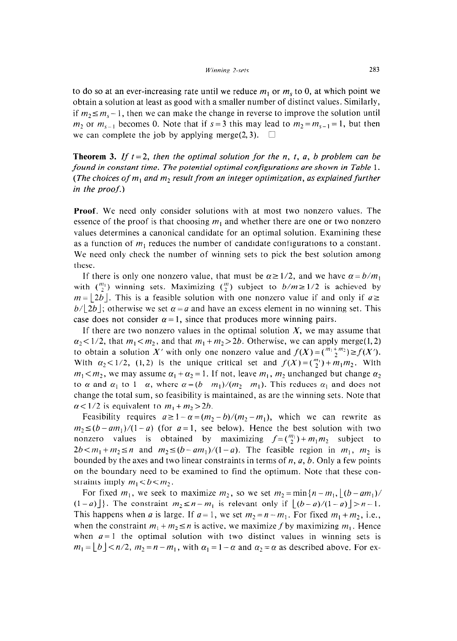to do so at an ever-increasing rate until we reduce  $m_1$  or  $m_s$  to 0, at which point we obtain a solution at least as good with a smaller number of distinct values. Similarly, if  $m_2 \le m_s - 1$ , then we can make the change in reverse to improve the solution until  $m_2$  or  $m_{s-1}$  becomes 0. Note that if  $s = 3$  this may lead to  $m_2 = m_{s-1} = 1$ , but then we can complete the job by applying merge(2,3).  $\Box$ 

**Theorem 3.** If  $t = 2$ , then the optimal solution for the n, t, a, b problem can be *found in constant time. The potential optimal configurations are shown in Table 1.*  (The choices of  $m_1$  and  $m_2$  result from an integer optimization, as explained further *in the proof.)* 

**Proof.** We need only consider solutions with at most two nonzero values. The essence of the proof is that choosing *m,* and whether there are one or two nonzero values determines a canonical candidate for an optimal solution. Examining these as a function of  $m_1$  reduces the number of candidate configurations to a constant. We need only check the number of winning sets to pick the best solution among these.

If there is only one nonzero value, that must be  $\alpha \ge 1/2$ , and we have  $\alpha = b/m_1$ with  $\binom{m_1}{2}$  winning sets. Maximizing  $\binom{m}{2}$  subject to  $b/m \ge 1/2$  is achieved by  $m = |2b|$ . This is a feasible solution with one nonzero value if and only if  $a \geq 1$  $b/|2b|$ ; otherwise we set  $\alpha = a$  and have an excess element in no winning set. This case does not consider  $\alpha = 1$ , since that produces more winning pairs.

If there are two nonzero values in the optimal solution  $X$ , we may assume that  $\alpha_2$ <1/2, that  $m_1$ < $m_2$ , and that  $m_1 + m_2 > 2b$ . Otherwise, we can apply merge(1,2) to obtain a solution X' with only one nonzero value and  $f(X) = {^{m_1+m_2} \choose 2} \ge f(X')$ . With  $\alpha_2$ <1/2, (1,2) is the unique critical set and  $f(X) = \binom{m_1}{2} + m_1 m_2$ . With  $m_1 < m_2$ , we may assume  $\alpha_1 + \alpha_2 = 1$ . If not, leave  $m_1$ ,  $m_2$  unchanged but change  $\alpha_2$ to  $\alpha$  and  $\alpha_1$  to  $1-\alpha$ , where  $\alpha = (b - m_1)/(m_2 - m_1)$ . This reduces  $\alpha_1$  and does not change the total sum, so feasibility is maintained, as are the winning sets. Note that  $\alpha$ <1/2 is equivalent to  $m_1 + m_2 > 2b$ .

Feasibility requires  $a \ge 1 - \alpha = (m_2 - b)/(m_2 - m_1)$ , which we can rewrite as  $m_2 \le (b - am_1)/(1 - a)$  (for  $a = 1$ , see below). Hence the best solution with two nonzero values is obtained by maximizing  $f=(\binom{m_1}{2}+m_1m_2)$  subject to  $2b < m_1 + m_2 \le n$  and  $m_2 \le (b - am_1)/(1 - a)$ . The feasible region in  $m_1$ ,  $m_2$  is bounded by the axes and two linear constraints in terms of *n, a, 6.* Only a few points on the boundary need to be examined to find the optimum. Note that these constraints imply  $m_1 < b < m_2$ .

For fixed  $m_1$ , we seek to maximize  $m_2$ , so we set  $m_2 = \min\{n-m_1, |(b-am_1)/$  $(1-a)$ }. The constraint  $m_2 \le n-m_1$  is relevant only if  $|(b-a)/(1-a)| > n-1$ . This happens when *a* is large. If  $a = 1$ , we set  $m_2 = n - m_1$ . For fixed  $m_1 + m_2$ , i.e., when the constraint  $m_1 + m_2 \le n$  is active, we maximize f by maximizing  $m_1$ . Hence when  $a = 1$  the optimal solution with two distinct values in winning sets is  $m_1 = \lfloor b \rfloor < n/2$ ,  $m_2 = n - m_1$ , with  $\alpha_1 = 1 - \alpha$  and  $\alpha_2 = \alpha$  as described above. For ex